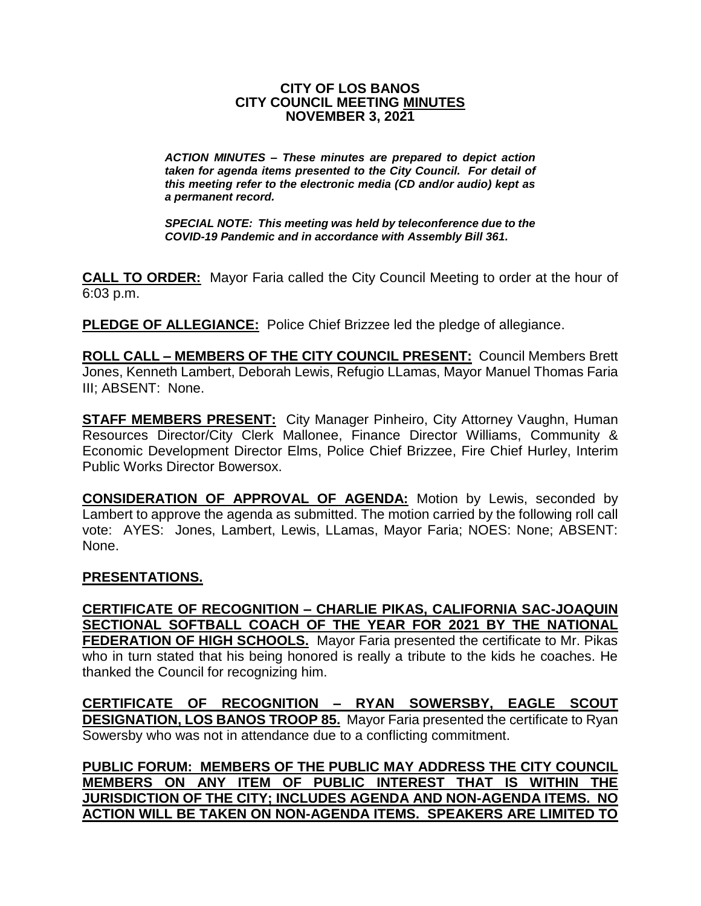#### **CITY OF LOS BANOS CITY COUNCIL MEETING MINUTES NOVEMBER 3, 2021**

*ACTION MINUTES – These minutes are prepared to depict action taken for agenda items presented to the City Council. For detail of this meeting refer to the electronic media (CD and/or audio) kept as a permanent record.*

*SPECIAL NOTE: This meeting was held by teleconference due to the COVID-19 Pandemic and in accordance with Assembly Bill 361.*

**CALL TO ORDER:** Mayor Faria called the City Council Meeting to order at the hour of 6:03 p.m.

**PLEDGE OF ALLEGIANCE:** Police Chief Brizzee led the pledge of allegiance.

**ROLL CALL – MEMBERS OF THE CITY COUNCIL PRESENT:** Council Members Brett Jones, Kenneth Lambert, Deborah Lewis, Refugio LLamas, Mayor Manuel Thomas Faria III; ABSENT: None.

**STAFF MEMBERS PRESENT:** City Manager Pinheiro, City Attorney Vaughn, Human Resources Director/City Clerk Mallonee, Finance Director Williams, Community & Economic Development Director Elms, Police Chief Brizzee, Fire Chief Hurley, Interim Public Works Director Bowersox.

**CONSIDERATION OF APPROVAL OF AGENDA:** Motion by Lewis, seconded by Lambert to approve the agenda as submitted. The motion carried by the following roll call vote: AYES: Jones, Lambert, Lewis, LLamas, Mayor Faria; NOES: None; ABSENT: None.

## **PRESENTATIONS.**

**CERTIFICATE OF RECOGNITION – CHARLIE PIKAS, CALIFORNIA SAC-JOAQUIN SECTIONAL SOFTBALL COACH OF THE YEAR FOR 2021 BY THE NATIONAL FEDERATION OF HIGH SCHOOLS.** Mayor Faria presented the certificate to Mr. Pikas who in turn stated that his being honored is really a tribute to the kids he coaches. He thanked the Council for recognizing him.

**CERTIFICATE OF RECOGNITION – RYAN SOWERSBY, EAGLE SCOUT DESIGNATION, LOS BANOS TROOP 85.** Mayor Faria presented the certificate to Ryan Sowersby who was not in attendance due to a conflicting commitment.

**PUBLIC FORUM: MEMBERS OF THE PUBLIC MAY ADDRESS THE CITY COUNCIL MEMBERS ON ANY ITEM OF PUBLIC INTEREST THAT IS WITHIN THE JURISDICTION OF THE CITY; INCLUDES AGENDA AND NON-AGENDA ITEMS. NO ACTION WILL BE TAKEN ON NON-AGENDA ITEMS. SPEAKERS ARE LIMITED TO**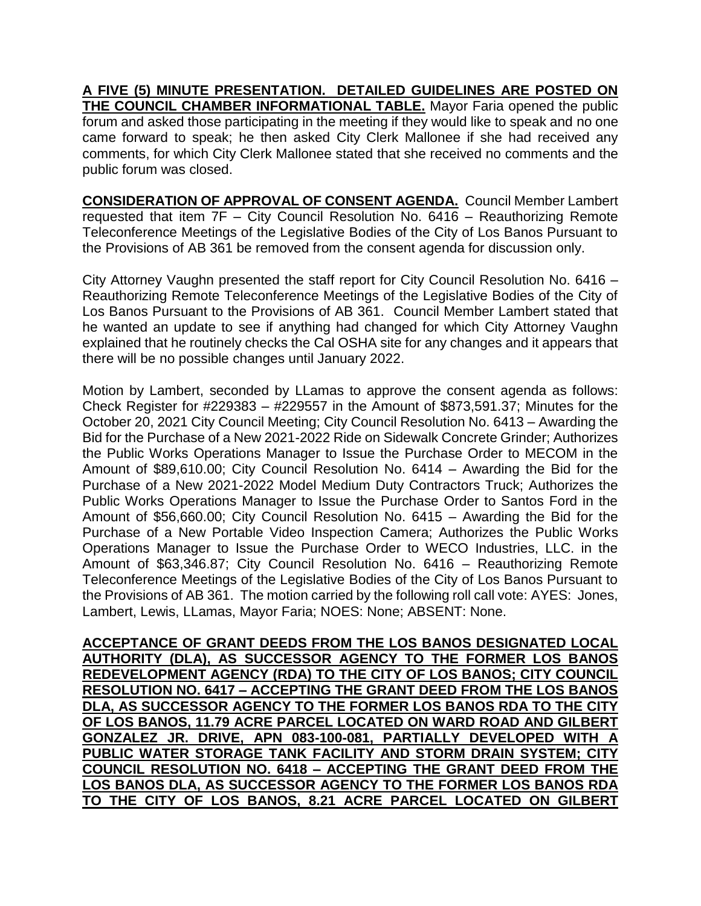**A FIVE (5) MINUTE PRESENTATION. DETAILED GUIDELINES ARE POSTED ON THE COUNCIL CHAMBER INFORMATIONAL TABLE.** Mayor Faria opened the public forum and asked those participating in the meeting if they would like to speak and no one came forward to speak; he then asked City Clerk Mallonee if she had received any comments, for which City Clerk Mallonee stated that she received no comments and the public forum was closed.

**CONSIDERATION OF APPROVAL OF CONSENT AGENDA.** Council Member Lambert requested that item 7F – City Council Resolution No. 6416 – Reauthorizing Remote Teleconference Meetings of the Legislative Bodies of the City of Los Banos Pursuant to the Provisions of AB 361 be removed from the consent agenda for discussion only.

City Attorney Vaughn presented the staff report for City Council Resolution No. 6416 – Reauthorizing Remote Teleconference Meetings of the Legislative Bodies of the City of Los Banos Pursuant to the Provisions of AB 361. Council Member Lambert stated that he wanted an update to see if anything had changed for which City Attorney Vaughn explained that he routinely checks the Cal OSHA site for any changes and it appears that there will be no possible changes until January 2022.

Motion by Lambert, seconded by LLamas to approve the consent agenda as follows: Check Register for #229383 – #229557 in the Amount of \$873,591.37; Minutes for the October 20, 2021 City Council Meeting; City Council Resolution No. 6413 – Awarding the Bid for the Purchase of a New 2021-2022 Ride on Sidewalk Concrete Grinder; Authorizes the Public Works Operations Manager to Issue the Purchase Order to MECOM in the Amount of \$89,610.00; City Council Resolution No. 6414 – Awarding the Bid for the Purchase of a New 2021-2022 Model Medium Duty Contractors Truck; Authorizes the Public Works Operations Manager to Issue the Purchase Order to Santos Ford in the Amount of \$56,660.00; City Council Resolution No. 6415 – Awarding the Bid for the Purchase of a New Portable Video Inspection Camera; Authorizes the Public Works Operations Manager to Issue the Purchase Order to WECO Industries, LLC. in the Amount of \$63,346.87; City Council Resolution No. 6416 – Reauthorizing Remote Teleconference Meetings of the Legislative Bodies of the City of Los Banos Pursuant to the Provisions of AB 361. The motion carried by the following roll call vote: AYES: Jones, Lambert, Lewis, LLamas, Mayor Faria; NOES: None; ABSENT: None.

**ACCEPTANCE OF GRANT DEEDS FROM THE LOS BANOS DESIGNATED LOCAL AUTHORITY (DLA), AS SUCCESSOR AGENCY TO THE FORMER LOS BANOS REDEVELOPMENT AGENCY (RDA) TO THE CITY OF LOS BANOS; CITY COUNCIL RESOLUTION NO. 6417 – ACCEPTING THE GRANT DEED FROM THE LOS BANOS DLA, AS SUCCESSOR AGENCY TO THE FORMER LOS BANOS RDA TO THE CITY OF LOS BANOS, 11.79 ACRE PARCEL LOCATED ON WARD ROAD AND GILBERT GONZALEZ JR. DRIVE, APN 083-100-081, PARTIALLY DEVELOPED WITH A PUBLIC WATER STORAGE TANK FACILITY AND STORM DRAIN SYSTEM; CITY COUNCIL RESOLUTION NO. 6418 – ACCEPTING THE GRANT DEED FROM THE LOS BANOS DLA, AS SUCCESSOR AGENCY TO THE FORMER LOS BANOS RDA TO THE CITY OF LOS BANOS, 8.21 ACRE PARCEL LOCATED ON GILBERT**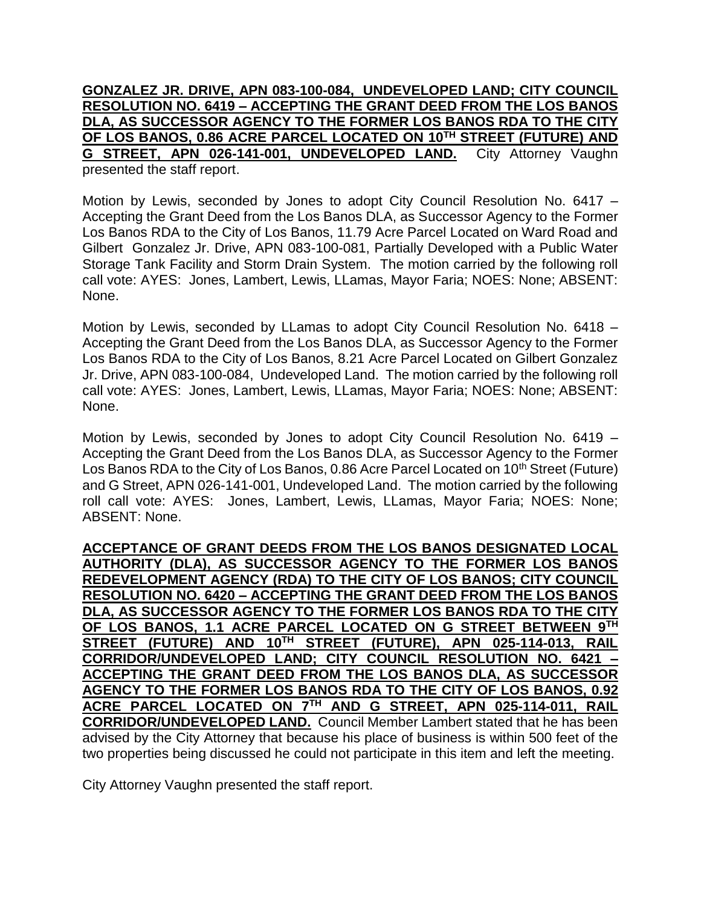**GONZALEZ JR. DRIVE, APN 083-100-084, UNDEVELOPED LAND; CITY COUNCIL RESOLUTION NO. 6419 – ACCEPTING THE GRANT DEED FROM THE LOS BANOS DLA, AS SUCCESSOR AGENCY TO THE FORMER LOS BANOS RDA TO THE CITY OF LOS BANOS, 0.86 ACRE PARCEL LOCATED ON 10TH STREET (FUTURE) AND G STREET, APN 026-141-001, UNDEVELOPED LAND.** City Attorney Vaughn presented the staff report.

Motion by Lewis, seconded by Jones to adopt City Council Resolution No. 6417 – Accepting the Grant Deed from the Los Banos DLA, as Successor Agency to the Former Los Banos RDA to the City of Los Banos, 11.79 Acre Parcel Located on Ward Road and Gilbert Gonzalez Jr. Drive, APN 083-100-081, Partially Developed with a Public Water Storage Tank Facility and Storm Drain System. The motion carried by the following roll call vote: AYES: Jones, Lambert, Lewis, LLamas, Mayor Faria; NOES: None; ABSENT: None.

Motion by Lewis, seconded by LLamas to adopt City Council Resolution No. 6418 – Accepting the Grant Deed from the Los Banos DLA, as Successor Agency to the Former Los Banos RDA to the City of Los Banos, 8.21 Acre Parcel Located on Gilbert Gonzalez Jr. Drive, APN 083-100-084, Undeveloped Land. The motion carried by the following roll call vote: AYES: Jones, Lambert, Lewis, LLamas, Mayor Faria; NOES: None; ABSENT: None.

Motion by Lewis, seconded by Jones to adopt City Council Resolution No. 6419 – Accepting the Grant Deed from the Los Banos DLA, as Successor Agency to the Former Los Banos RDA to the City of Los Banos, 0.86 Acre Parcel Located on 10<sup>th</sup> Street (Future) and G Street, APN 026-141-001, Undeveloped Land. The motion carried by the following roll call vote: AYES: Jones, Lambert, Lewis, LLamas, Mayor Faria; NOES: None; ABSENT: None.

**ACCEPTANCE OF GRANT DEEDS FROM THE LOS BANOS DESIGNATED LOCAL AUTHORITY (DLA), AS SUCCESSOR AGENCY TO THE FORMER LOS BANOS REDEVELOPMENT AGENCY (RDA) TO THE CITY OF LOS BANOS; CITY COUNCIL RESOLUTION NO. 6420 – ACCEPTING THE GRANT DEED FROM THE LOS BANOS DLA, AS SUCCESSOR AGENCY TO THE FORMER LOS BANOS RDA TO THE CITY OF LOS BANOS, 1.1 ACRE PARCEL LOCATED ON G STREET BETWEEN 9TH STREET (FUTURE) AND 10TH STREET (FUTURE), APN 025-114-013, RAIL CORRIDOR/UNDEVELOPED LAND; CITY COUNCIL RESOLUTION NO. 6421 – ACCEPTING THE GRANT DEED FROM THE LOS BANOS DLA, AS SUCCESSOR AGENCY TO THE FORMER LOS BANOS RDA TO THE CITY OF LOS BANOS, 0.92 ACRE PARCEL LOCATED ON 7TH AND G STREET, APN 025-114-011, RAIL CORRIDOR/UNDEVELOPED LAND.** Council Member Lambert stated that he has been advised by the City Attorney that because his place of business is within 500 feet of the two properties being discussed he could not participate in this item and left the meeting.

City Attorney Vaughn presented the staff report.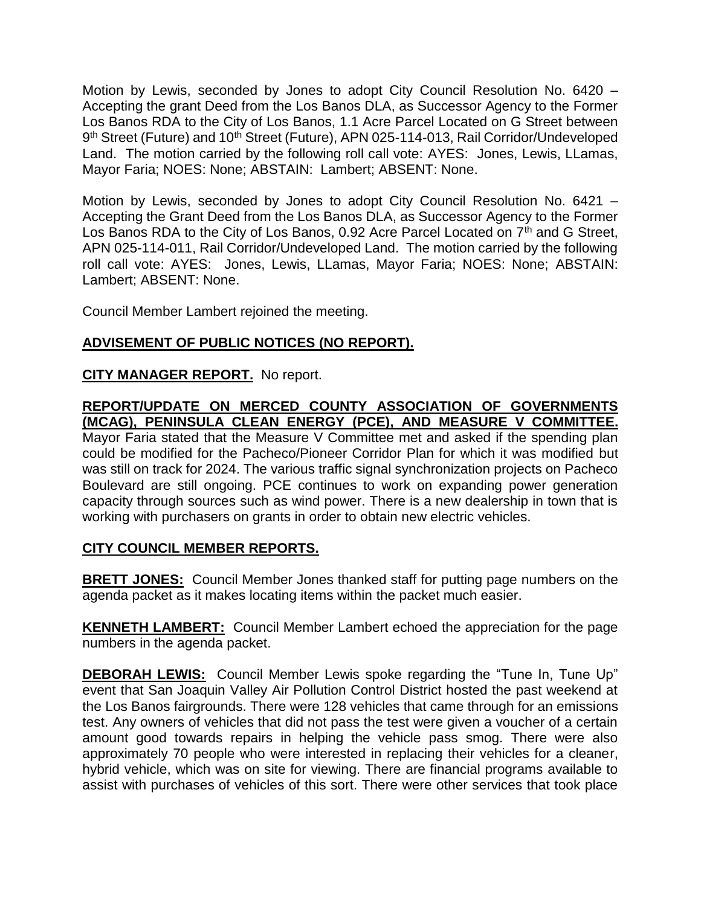Motion by Lewis, seconded by Jones to adopt City Council Resolution No. 6420 – Accepting the grant Deed from the Los Banos DLA, as Successor Agency to the Former Los Banos RDA to the City of Los Banos, 1.1 Acre Parcel Located on G Street between 9<sup>th</sup> Street (Future) and 10<sup>th</sup> Street (Future), APN 025-114-013, Rail Corridor/Undeveloped Land. The motion carried by the following roll call vote: AYES: Jones, Lewis, LLamas, Mayor Faria; NOES: None; ABSTAIN: Lambert; ABSENT: None.

Motion by Lewis, seconded by Jones to adopt City Council Resolution No. 6421 – Accepting the Grant Deed from the Los Banos DLA, as Successor Agency to the Former Los Banos RDA to the City of Los Banos, 0.92 Acre Parcel Located on 7<sup>th</sup> and G Street, APN 025-114-011, Rail Corridor/Undeveloped Land. The motion carried by the following roll call vote: AYES: Jones, Lewis, LLamas, Mayor Faria; NOES: None; ABSTAIN: Lambert; ABSENT: None.

Council Member Lambert rejoined the meeting.

# **ADVISEMENT OF PUBLIC NOTICES (NO REPORT).**

## **CITY MANAGER REPORT.** No report.

## **REPORT/UPDATE ON MERCED COUNTY ASSOCIATION OF GOVERNMENTS (MCAG), PENINSULA CLEAN ENERGY (PCE), AND MEASURE V COMMITTEE.**

Mayor Faria stated that the Measure V Committee met and asked if the spending plan could be modified for the Pacheco/Pioneer Corridor Plan for which it was modified but was still on track for 2024. The various traffic signal synchronization projects on Pacheco Boulevard are still ongoing. PCE continues to work on expanding power generation capacity through sources such as wind power. There is a new dealership in town that is working with purchasers on grants in order to obtain new electric vehicles.

## **CITY COUNCIL MEMBER REPORTS.**

**BRETT JONES:** Council Member Jones thanked staff for putting page numbers on the agenda packet as it makes locating items within the packet much easier.

**KENNETH LAMBERT:** Council Member Lambert echoed the appreciation for the page numbers in the agenda packet.

**DEBORAH LEWIS:** Council Member Lewis spoke regarding the "Tune In, Tune Up" event that San Joaquin Valley Air Pollution Control District hosted the past weekend at the Los Banos fairgrounds. There were 128 vehicles that came through for an emissions test. Any owners of vehicles that did not pass the test were given a voucher of a certain amount good towards repairs in helping the vehicle pass smog. There were also approximately 70 people who were interested in replacing their vehicles for a cleaner, hybrid vehicle, which was on site for viewing. There are financial programs available to assist with purchases of vehicles of this sort. There were other services that took place